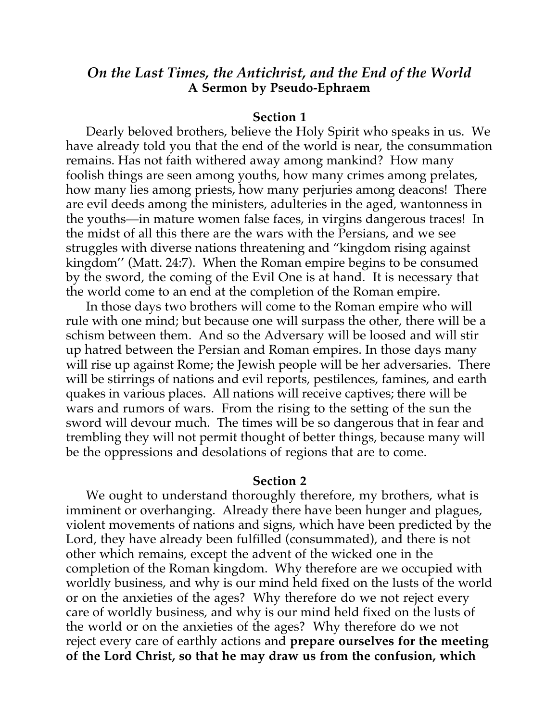# *On the Last Times, the Antichrist, and the End of the World* **A Sermon by Pseudo-Ephraem**

## **Section 1**

Dearly beloved brothers, believe the Holy Spirit who speaks in us. We have already told you that the end of the world is near, the consummation remains. Has not faith withered away among mankind? How many foolish things are seen among youths, how many crimes among prelates, how many lies among priests, how many perjuries among deacons! There are evil deeds among the ministers, adulteries in the aged, wantonness in the youths—in mature women false faces, in virgins dangerous traces! In the midst of all this there are the wars with the Persians, and we see struggles with diverse nations threatening and "kingdom rising against kingdom'' (Matt. 24:7). When the Roman empire begins to be consumed by the sword, the coming of the Evil One is at hand. It is necessary that the world come to an end at the completion of the Roman empire.

In those days two brothers will come to the Roman empire who will rule with one mind; but because one will surpass the other, there will be a schism between them. And so the Adversary will be loosed and will stir up hatred between the Persian and Roman empires. In those days many will rise up against Rome; the Jewish people will be her adversaries. There will be stirrings of nations and evil reports, pestilences, famines, and earth quakes in various places. All nations will receive captives; there will be wars and rumors of wars. From the rising to the setting of the sun the sword will devour much. The times will be so dangerous that in fear and trembling they will not permit thought of better things, because many will be the oppressions and desolations of regions that are to come.

## **Section 2**

We ought to understand thoroughly therefore, my brothers, what is imminent or overhanging. Already there have been hunger and plagues, violent movements of nations and signs, which have been predicted by the Lord, they have already been fulfilled (consummated), and there is not other which remains, except the advent of the wicked one in the completion of the Roman kingdom. Why therefore are we occupied with worldly business, and why is our mind held fixed on the lusts of the world or on the anxieties of the ages? Why therefore do we not reject every care of worldly business, and why is our mind held fixed on the lusts of the world or on the anxieties of the ages? Why therefore do we not reject every care of earthly actions and **prepare ourselves for the meeting of the Lord Christ, so that he may draw us from the confusion, which**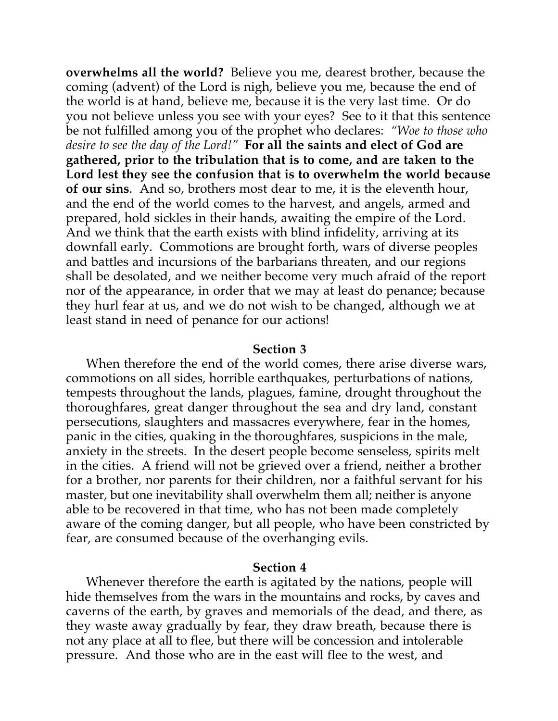**overwhelms all the world?** Believe you me, dearest brother, because the coming (advent) of the Lord is nigh, believe you me, because the end of the world is at hand, believe me, because it is the very last time. Or do you not believe unless you see with your eyes? See to it that this sentence be not fulfilled among you of the prophet who declares: *"Woe to those who desire to see the day of the Lord!"* **For all the saints and elect of God are gathered, prior to the tribulation that is to come, and are taken to the Lord lest they see the confusion that is to overwhelm the world because of our sins**. And so, brothers most dear to me, it is the eleventh hour, and the end of the world comes to the harvest, and angels, armed and prepared, hold sickles in their hands, awaiting the empire of the Lord. And we think that the earth exists with blind infidelity, arriving at its downfall early. Commotions are brought forth, wars of diverse peoples and battles and incursions of the barbarians threaten, and our regions shall be desolated, and we neither become very much afraid of the report nor of the appearance, in order that we may at least do penance; because they hurl fear at us, and we do not wish to be changed, although we at least stand in need of penance for our actions!

#### **Section 3**

When therefore the end of the world comes, there arise diverse wars, commotions on all sides, horrible earthquakes, perturbations of nations, tempests throughout the lands, plagues, famine, drought throughout the thoroughfares, great danger throughout the sea and dry land, constant persecutions, slaughters and massacres everywhere, fear in the homes, panic in the cities, quaking in the thoroughfares, suspicions in the male, anxiety in the streets. In the desert people become senseless, spirits melt in the cities. A friend will not be grieved over a friend, neither a brother for a brother, nor parents for their children, nor a faithful servant for his master, but one inevitability shall overwhelm them all; neither is anyone able to be recovered in that time, who has not been made completely aware of the coming danger, but all people, who have been constricted by fear, are consumed because of the overhanging evils.

## **Section 4**

Whenever therefore the earth is agitated by the nations, people will hide themselves from the wars in the mountains and rocks, by caves and caverns of the earth, by graves and memorials of the dead, and there, as they waste away gradually by fear, they draw breath, because there is not any place at all to flee, but there will be concession and intolerable pressure. And those who are in the east will flee to the west, and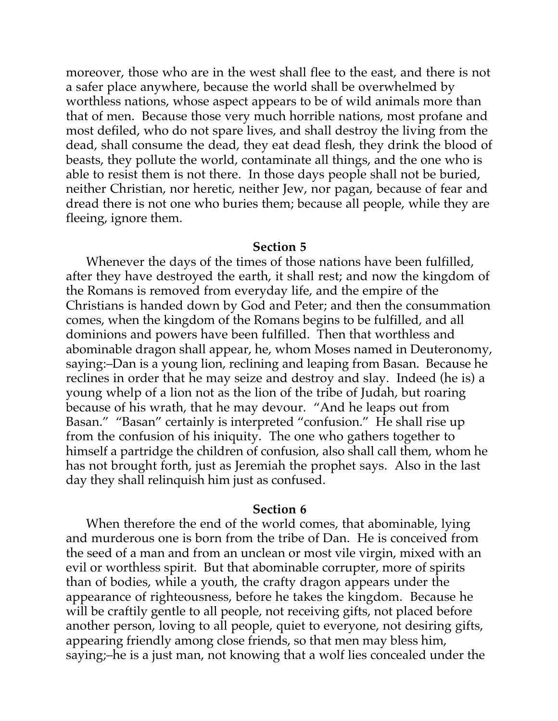moreover, those who are in the west shall flee to the east, and there is not a safer place anywhere, because the world shall be overwhelmed by worthless nations, whose aspect appears to be of wild animals more than that of men. Because those very much horrible nations, most profane and most defiled, who do not spare lives, and shall destroy the living from the dead, shall consume the dead, they eat dead flesh, they drink the blood of beasts, they pollute the world, contaminate all things, and the one who is able to resist them is not there. In those days people shall not be buried, neither Christian, nor heretic, neither Jew, nor pagan, because of fear and dread there is not one who buries them; because all people, while they are fleeing, ignore them.

### **Section 5**

Whenever the days of the times of those nations have been fulfilled, after they have destroyed the earth, it shall rest; and now the kingdom of the Romans is removed from everyday life, and the empire of the Christians is handed down by God and Peter; and then the consummation comes, when the kingdom of the Romans begins to be fulfilled, and all dominions and powers have been fulfilled. Then that worthless and abominable dragon shall appear, he, whom Moses named in Deuteronomy, saying:–Dan is a young lion, reclining and leaping from Basan. Because he reclines in order that he may seize and destroy and slay. Indeed (he is) a young whelp of a lion not as the lion of the tribe of Judah, but roaring because of his wrath, that he may devour. "And he leaps out from Basan." "Basan" certainly is interpreted "confusion." He shall rise up from the confusion of his iniquity. The one who gathers together to himself a partridge the children of confusion, also shall call them, whom he has not brought forth, just as Jeremiah the prophet says. Also in the last day they shall relinquish him just as confused.

#### **Section 6**

When therefore the end of the world comes, that abominable, lying and murderous one is born from the tribe of Dan. He is conceived from the seed of a man and from an unclean or most vile virgin, mixed with an evil or worthless spirit. But that abominable corrupter, more of spirits than of bodies, while a youth, the crafty dragon appears under the appearance of righteousness, before he takes the kingdom. Because he will be craftily gentle to all people, not receiving gifts, not placed before another person, loving to all people, quiet to everyone, not desiring gifts, appearing friendly among close friends, so that men may bless him, saying;–he is a just man, not knowing that a wolf lies concealed under the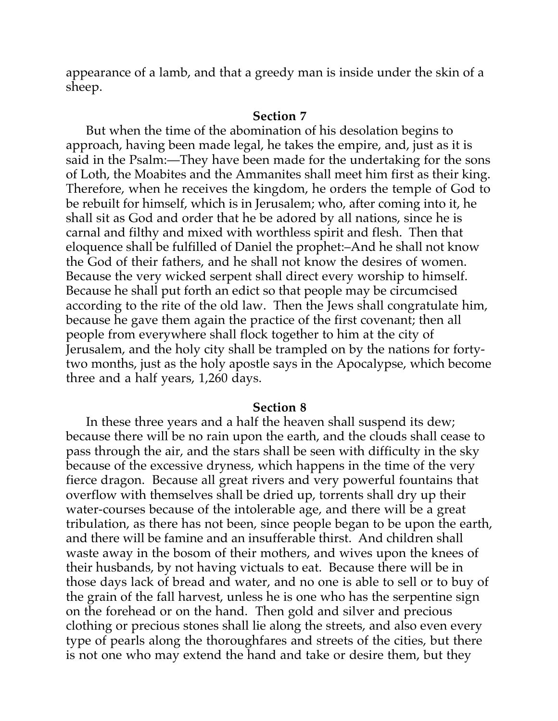appearance of a lamb, and that a greedy man is inside under the skin of a sheep.

## **Section 7**

But when the time of the abomination of his desolation begins to approach, having been made legal, he takes the empire, and, just as it is said in the Psalm:—They have been made for the undertaking for the sons of Loth, the Moabites and the Ammanites shall meet him first as their king. Therefore, when he receives the kingdom, he orders the temple of God to be rebuilt for himself, which is in Jerusalem; who, after coming into it, he shall sit as God and order that he be adored by all nations, since he is carnal and filthy and mixed with worthless spirit and flesh. Then that eloquence shall be fulfilled of Daniel the prophet:–And he shall not know the God of their fathers, and he shall not know the desires of women. Because the very wicked serpent shall direct every worship to himself. Because he shall put forth an edict so that people may be circumcised according to the rite of the old law. Then the Jews shall congratulate him, because he gave them again the practice of the first covenant; then all people from everywhere shall flock together to him at the city of Jerusalem, and the holy city shall be trampled on by the nations for fortytwo months, just as the holy apostle says in the Apocalypse, which become three and a half years, 1,260 days.

### **Section 8**

In these three years and a half the heaven shall suspend its dew; because there will be no rain upon the earth, and the clouds shall cease to pass through the air, and the stars shall be seen with difficulty in the sky because of the excessive dryness, which happens in the time of the very fierce dragon. Because all great rivers and very powerful fountains that overflow with themselves shall be dried up, torrents shall dry up their water-courses because of the intolerable age, and there will be a great tribulation, as there has not been, since people began to be upon the earth, and there will be famine and an insufferable thirst. And children shall waste away in the bosom of their mothers, and wives upon the knees of their husbands, by not having victuals to eat. Because there will be in those days lack of bread and water, and no one is able to sell or to buy of the grain of the fall harvest, unless he is one who has the serpentine sign on the forehead or on the hand. Then gold and silver and precious clothing or precious stones shall lie along the streets, and also even every type of pearls along the thoroughfares and streets of the cities, but there is not one who may extend the hand and take or desire them, but they